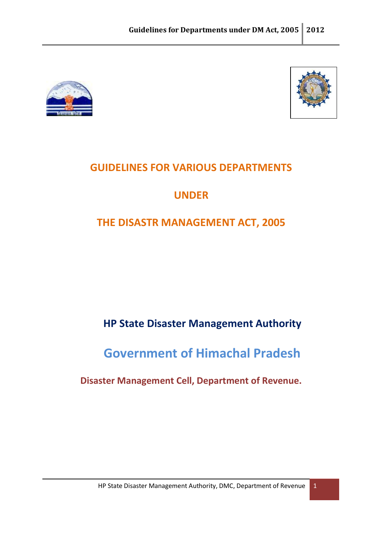



# **GUIDELINES FOR VARIOUS DEPARTMENTS**

# **UNDER**

# **THE DISASTR MANAGEMENT ACT, 2005**

# **HP State Disaster Management Authority**

# **Government of Himachal Pradesh**

## **Disaster Management Cell, Department of Revenue.**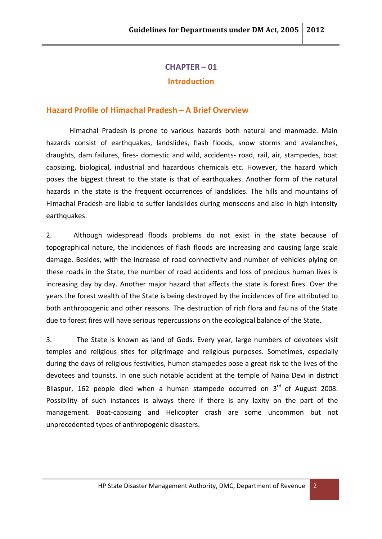## **CHAPTER – 01 Introduction**

#### **Hazard Profile of Himachal Pradesh – A Brief Overview**

Himachal Pradesh is prone to various hazards both natural and manmade. Main hazards consist of earthquakes, landslides, flash floods, snow storms and avalanches, draughts, dam failures, fires- domestic and wild, accidents- road, rail, air, stampedes, boat capsizing, biological, industrial and hazardous chemicals etc. However, the hazard which poses the biggest threat to the state is that of earthquakes. Another form of the natural hazards in the state is the frequent occurrences of landslides. The hills and mountains of Himachal Pradesh are liable to suffer landslides during monsoons and also in high intensity earthquakes.

2. Although widespread floods problems do not exist in the state because of topographical nature, the incidences of flash floods are increasing and causing large scale damage. Besides, with the increase of road connectivity and number of vehicles plying on these roads in the State, the number of road accidents and loss of precious human lives is increasing day by day. Another major hazard that affects the state is forest fires. Over the years the forest wealth of the State is being destroyed by the incidences of fire attributed to both anthropogenic and other reasons. The destruction of rich flora and fau na of the State due to forest fires will have serious repercussions on the ecological balance of the State.

3. The State is known as land of Gods. Every year, large numbers of devotees visit temples and religious sites for pilgrimage and religious purposes. Sometimes, especially during the days of religious festivities, human stampedes pose a great risk to the lives of the devotees and tourists. In one such notable accident at the temple of Naina Devi in district Bilaspur, 162 people died when a human stampede occurred on  $3<sup>rd</sup>$  of August 2008. Possibility of such instances is always there if there is any laxity on the part of the management. Boat-capsizing and Helicopter crash are some uncommon but not unprecedented types of anthropogenic disasters.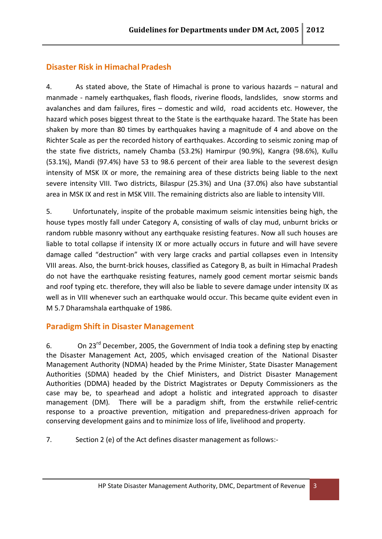## **Disaster Risk in Himachal Pradesh**

4. As stated above, the State of Himachal is prone to various hazards – natural and manmade - namely earthquakes, flash floods, riverine floods, landslides, snow storms and avalanches and dam failures, fires – domestic and wild, road accidents etc. However, the hazard which poses biggest threat to the State is the earthquake hazard. The State has been shaken by more than 80 times by earthquakes having a magnitude of 4 and above on the Richter Scale as per the recorded history of earthquakes. According to seismic zoning map of the state five districts, namely Chamba (53.2%) Hamirpur (90.9%), Kangra (98.6%), Kullu (53.1%), Mandi (97.4%) have 53 to 98.6 percent of their area liable to the severest design intensity of MSK IX or more, the remaining area of these districts being liable to the next severe intensity VIII. Two districts, Bilaspur (25.3%) and Una (37.0%) also have substantial area in MSK IX and rest in MSK VIII. The remaining districts also are liable to intensity VIII.

5. Unfortunately, inspite of the probable maximum seismic intensities being high, the house types mostly fall under Category A, consisting of walls of clay mud, unburnt bricks or random rubble masonry without any earthquake resisting features. Now all such houses are liable to total collapse if intensity IX or more actually occurs in future and will have severe damage called "destruction" with very large cracks and partial collapses even in Intensity VIII areas. Also, the burnt-brick houses, classified as Category B, as built in Himachal Pradesh do not have the earthquake resisting features, namely good cement mortar seismic bands and roof typing etc. therefore, they will also be liable to severe damage under intensity IX as well as in VIII whenever such an earthquake would occur. This became quite evident even in M 5.7 Dharamshala earthquake of 1986.

## **Paradigm Shift in Disaster Management**

6. On 23<sup>rd</sup> December, 2005, the Government of India took a defining step by enacting the Disaster Management Act, 2005, which envisaged creation of the National Disaster Management Authority (NDMA) headed by the Prime Minister, State Disaster Management Authorities (SDMA) headed by the Chief Ministers, and District Disaster Management Authorities (DDMA) headed by the District Magistrates or Deputy Commissioners as the case may be, to spearhead and adopt a holistic and integrated approach to disaster management (DM). There will be a paradigm shift, from the erstwhile relief-centric response to a proactive prevention, mitigation and preparedness-driven approach for conserving development gains and to minimize loss of life, livelihood and property.

7. Section 2 (e) of the Act defines disaster management as follows:-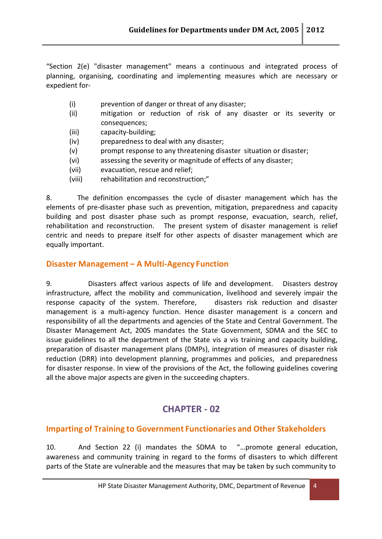"Section 2(e) "disaster management" means a continuous and integrated process of planning, organising, coordinating and implementing measures which are necessary or expedient for-

- (i) prevention of danger or threat of any disaster;
- (ii) mitigation or reduction of risk of any disaster or its severity or consequences;
- (iii) capacity-building;
- (iv) preparedness to deal with any disaster;
- (v) prompt response to any threatening disaster situation or disaster;
- (vi) assessing the severity or magnitude of effects of any disaster;
- (vii) evacuation, rescue and relief;
- (viii) rehabilitation and reconstruction;"

8. The definition encompasses the cycle of disaster management which has the elements of pre-disaster phase such as prevention, mitigation, preparedness and capacity building and post disaster phase such as prompt response, evacuation, search, relief, rehabilitation and reconstruction. The present system of disaster management is relief centric and needs to prepare itself for other aspects of disaster management which are equally important.

## **Disaster Management – A Multi-Agency Function**

9. Disasters affect various aspects of life and development. Disasters destroy infrastructure, affect the mobility and communication, livelihood and severely impair the response capacity of the system. Therefore, disasters risk reduction and disaster management is a multi-agency function. Hence disaster management is a concern and responsibility of all the departments and agencies of the State and Central Government. The Disaster Management Act, 2005 mandates the State Government, SDMA and the SEC to issue guidelines to all the department of the State vis a vis training and capacity building, preparation of disaster management plans (DMPs), integration of measures of disaster risk reduction (DRR) into development planning, programmes and policies, and preparedness for disaster response. In view of the provisions of the Act, the following guidelines covering all the above major aspects are given in the succeeding chapters.

## **CHAPTER - 02**

## **Imparting of Training to Government Functionaries and Other Stakeholders**

10. And Section 22 (i) mandates the SDMA to "…promote general education, awareness and community training in regard to the forms of disasters to which different parts of the State are vulnerable and the measures that may be taken by such community to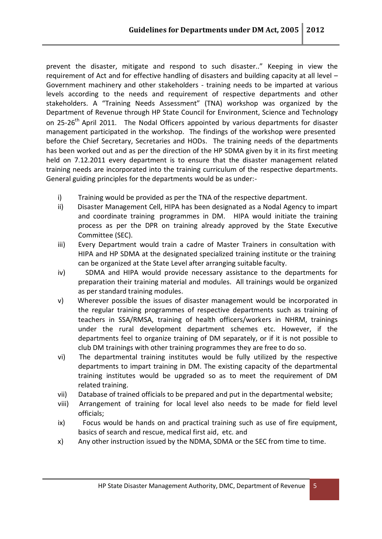prevent the disaster, mitigate and respond to such disaster.." Keeping in view the requirement of Act and for effective handling of disasters and building capacity at all level – Government machinery and other stakeholders - training needs to be imparted at various levels according to the needs and requirement of respective departments and other stakeholders. A "Training Needs Assessment" (TNA) workshop was organized by the Department of Revenue through HP State Council for Environment, Science and Technology on 25-26<sup>th</sup> April 2011. The Nodal Officers appointed by various departments for disaster management participated in the workshop. The findings of the workshop were presented before the Chief Secretary, Secretaries and HODs. The training needs of the departments has been worked out and as per the direction of the HP SDMA given by it in its first meeting held on 7.12.2011 every department is to ensure that the disaster management related training needs are incorporated into the training curriculum of the respective departments. General guiding principles for the departments would be as under:-

- i) Training would be provided as per the TNA of the respective department.
- ii) Disaster Management Cell, HIPA has been designated as a Nodal Agency to impart and coordinate training programmes in DM. HIPA would initiate the training process as per the DPR on training already approved by the State Executive Committee (SEC).
- iii) Every Department would train a cadre of Master Trainers in consultation with HIPA and HP SDMA at the designated specialized training institute or the training can be organized at the State Level after arranging suitable faculty.
- iv) SDMA and HIPA would provide necessary assistance to the departments for preparation their training material and modules. All trainings would be organized as per standard training modules.
- v) Wherever possible the issues of disaster management would be incorporated in the regular training programmes of respective departments such as training of teachers in SSA/RMSA, training of health officers/workers in NHRM, trainings under the rural development department schemes etc. However, if the departments feel to organize training of DM separately, or if it is not possible to club DM trainings with other training programmes they are free to do so.
- vi) The departmental training institutes would be fully utilized by the respective departments to impart training in DM. The existing capacity of the departmental training institutes would be upgraded so as to meet the requirement of DM related training.
- vii) Database of trained officials to be prepared and put in the departmental website;
- viii) Arrangement of training for local level also needs to be made for field level officials;
- ix) Focus would be hands on and practical training such as use of fire equipment, basics of search and rescue, medical first aid, etc. and
- x) Any other instruction issued by the NDMA, SDMA or the SEC from time to time.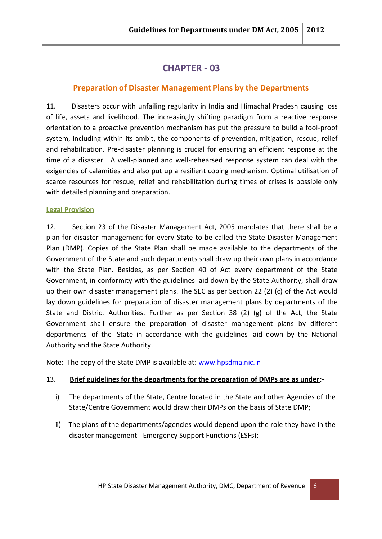## **CHAPTER - 03**

## **Preparation of Disaster Management Plans by the Departments**

11. Disasters occur with unfailing regularity in India and Himachal Pradesh causing loss of life, assets and livelihood. The increasingly shifting paradigm from a reactive response orientation to a proactive prevention mechanism has put the pressure to build a fool-proof system, including within its ambit, the components of prevention, mitigation, rescue, relief and rehabilitation. Pre-disaster planning is crucial for ensuring an efficient response at the time of a disaster. A well-planned and well-rehearsed response system can deal with the exigencies of calamities and also put up a resilient coping mechanism. Optimal utilisation of scarce resources for rescue, relief and rehabilitation during times of crises is possible only with detailed planning and preparation.

#### **Legal Provision**

12. Section 23 of the Disaster Management Act, 2005 mandates that there shall be a plan for disaster management for every State to be called the State Disaster Management Plan (DMP). Copies of the State Plan shall be made available to the departments of the Government of the State and such departments shall draw up their own plans in accordance with the State Plan. Besides, as per Section 40 of Act every department of the State Government, in conformity with the guidelines laid down by the State Authority, shall draw up their own disaster management plans. The SEC as per Section 22 (2) (c) of the Act would lay down guidelines for preparation of disaster management plans by departments of the State and District Authorities. Further as per Section 38 (2) (g) of the Act, the State Government shall ensure the preparation of disaster management plans by different departments of the State in accordance with the guidelines laid down by the National Authority and the State Authority.

Note: The copy of the State DMP is available at: www.hpsdma.nic.in

#### 13. **Brief guidelines for the departments for the preparation of DMPs are as under:-**

- i) The departments of the State, Centre located in the State and other Agencies of the State/Centre Government would draw their DMPs on the basis of State DMP;
- ii) The plans of the departments/agencies would depend upon the role they have in the disaster management - Emergency Support Functions (ESFs);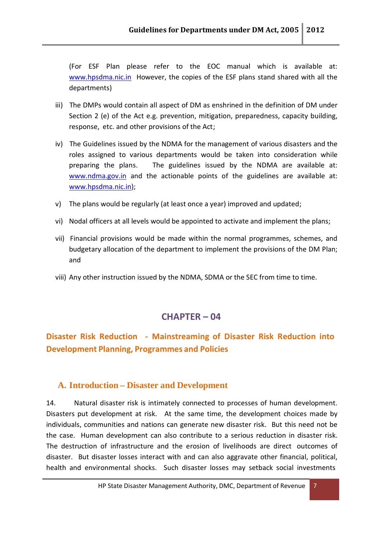(For ESF Plan please refer to the EOC manual which is available at: www.hpsdma.nic.in However, the copies of the ESF plans stand shared with all the departments)

- iii) The DMPs would contain all aspect of DM as enshrined in the definition of DM under Section 2 (e) of the Act e.g. prevention, mitigation, preparedness, capacity building, response, etc. and other provisions of the Act;
- iv) The Guidelines issued by the NDMA for the management of various disasters and the roles assigned to various departments would be taken into consideration while preparing the plans. The guidelines issued by the NDMA are available at: www.ndma.gov.in and the actionable points of the guidelines are available at: www.hpsdma.nic.in);
- v) The plans would be regularly (at least once a year) improved and updated;
- vi) Nodal officers at all levels would be appointed to activate and implement the plans;
- vii) Financial provisions would be made within the normal programmes, schemes, and budgetary allocation of the department to implement the provisions of the DM Plan; and
- viii) Any other instruction issued by the NDMA, SDMA or the SEC from time to time.

## **CHAPTER – 04**

## **Disaster Risk Reduction - Mainstreaming of Disaster Risk Reduction into Development Planning, Programmes and Policies**

## **A. Introduction – Disaster and Development**

14. Natural disaster risk is intimately connected to processes of human development. Disasters put development at risk. At the same time, the development choices made by individuals, communities and nations can generate new disaster risk. But this need not be the case. Human development can also contribute to a serious reduction in disaster risk. The destruction of infrastructure and the erosion of livelihoods are direct outcomes of disaster. But disaster losses interact with and can also aggravate other financial, political, health and environmental shocks. Such disaster losses may setback social investments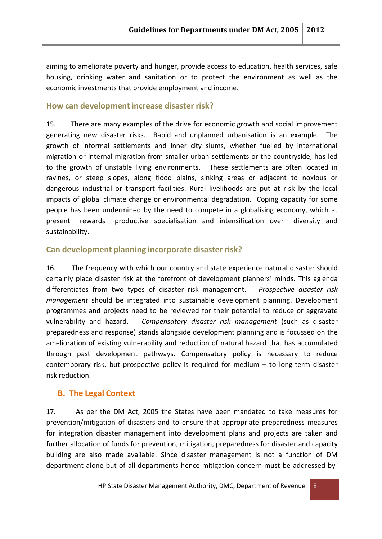aiming to ameliorate poverty and hunger, provide access to education, health services, safe housing, drinking water and sanitation or to protect the environment as well as the economic investments that provide employment and income.

## **How can development increase disaster risk?**

15. There are many examples of the drive for economic growth and social improvement generating new disaster risks. Rapid and unplanned urbanisation is an example. The growth of informal settlements and inner city slums, whether fuelled by international migration or internal migration from smaller urban settlements or the countryside, has led to the growth of unstable living environments. These settlements are often located in ravines, or steep slopes, along flood plains, sinking areas or adjacent to noxious or dangerous industrial or transport facilities. Rural livelihoods are put at risk by the local impacts of global climate change or environmental degradation. Coping capacity for some people has been undermined by the need to compete in a globalising economy, which at present rewards productive specialisation and intensification over diversity and sustainability.

## **Can development planning incorporate disaster risk?**

16. The frequency with which our country and state experience natural disaster should certainly place disaster risk at the forefront of development planners' minds. This ag enda differentiates from two types of disaster risk management. *Prospective disaster risk management* should be integrated into sustainable development planning. Development programmes and projects need to be reviewed for their potential to reduce or aggravate vulnerability and hazard. *Compensatory disaster risk management* (such as disaster preparedness and response) stands alongside development planning and is focussed on the amelioration of existing vulnerability and reduction of natural hazard that has accumulated through past development pathways. Compensatory policy is necessary to reduce contemporary risk, but prospective policy is required for medium – to long-term disaster risk reduction.

## **B. The Legal Context**

17. As per the DM Act, 2005 the States have been mandated to take measures for prevention/mitigation of disasters and to ensure that appropriate preparedness measures for integration disaster management into development plans and projects are taken and further allocation of funds for prevention, mitigation, preparedness for disaster and capacity building are also made available. Since disaster management is not a function of DM department alone but of all departments hence mitigation concern must be addressed by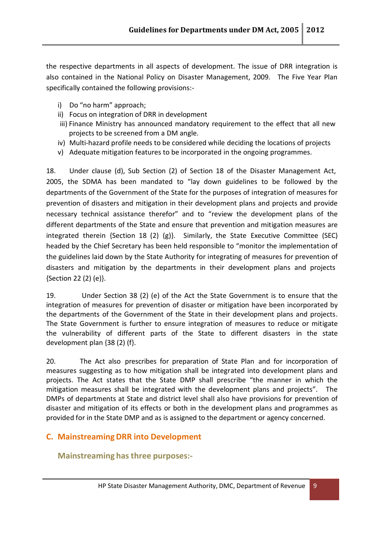the respective departments in all aspects of development. The issue of DRR integration is also contained in the National Policy on Disaster Management, 2009. The Five Year Plan specifically contained the following provisions:-

- i) Do "no harm" approach;
- ii) Focus on integration of DRR in development
- iii) Finance Ministry has announced mandatory requirement to the effect that all new projects to be screened from a DM angle.
- iv) Multi-hazard profile needs to be considered while deciding the locations of projects
- v) Adequate mitigation features to be incorporated in the ongoing programmes.

18. Under clause (d), Sub Section (2) of Section 18 of the Disaster Management Act, 2005, the SDMA has been mandated to "lay down guidelines to be followed by the departments of the Government of the State for the purposes of integration of measures for prevention of disasters and mitigation in their development plans and projects and provide necessary technical assistance therefor" and to "review the development plans of the different departments of the State and ensure that prevention and mitigation measures are integrated therein {Section 18 (2) (g)}. Similarly, the State Executive Committee (SEC) headed by the Chief Secretary has been held responsible to "monitor the implementation of the guidelines laid down by the State Authority for integrating of measures for prevention of disasters and mitigation by the departments in their development plans and projects {Section 22 (2) (e)}.

19. Under Section 38 (2) (e) of the Act the State Government is to ensure that the integration of measures for prevention of disaster or mitigation have been incorporated by the departments of the Government of the State in their development plans and projects. The State Government is further to ensure integration of measures to reduce or mitigate the vulnerability of different parts of the State to different disasters in the state development plan {38 (2) (f}.

20. The Act also prescribes for preparation of State Plan and for incorporation of measures suggesting as to how mitigation shall be integrated into development plans and projects. The Act states that the State DMP shall prescribe "the manner in which the mitigation measures shall be integrated with the development plans and projects". The DMPs of departments at State and district level shall also have provisions for prevention of disaster and mitigation of its effects or both in the development plans and programmes as provided for in the State DMP and as is assigned to the department or agency concerned.

## **C. Mainstreaming DRR into Development**

**Mainstreaming has three purposes:-**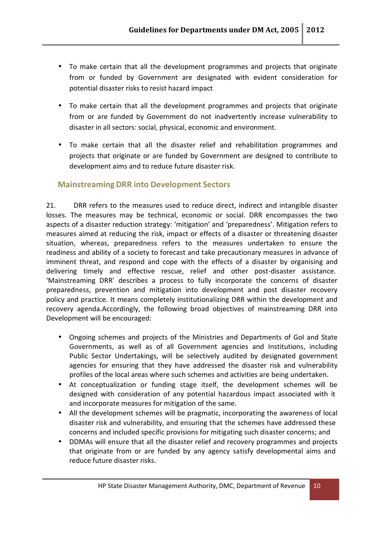- To make certain that all the development programmes and projects that originate from or funded by Government are designated with evident consideration for potential disaster risks to resist hazard impact
- To make certain that all the development programmes and projects that originate from or are funded by Government do not inadvertently increase vulnerability to disaster in all sectors: social, physical, economic and environment.
- To make certain that all the disaster relief and rehabilitation programmes and projects that originate or are funded by Government are designed to contribute to development aims and to reduce future disaster risk.

## **Mainstreaming DRR into Development Sectors**

21. DRR refers to the measures used to reduce direct, indirect and intangible disaster losses. The measures may be technical, economic or social. DRR encompasses the two aspects of a disaster reduction strategy: 'mitigation' and 'preparedness'. Mitigation refers to measures aimed at reducing the risk, impact or effects of a disaster or threatening disaster situation, whereas, preparedness refers to the measures undertaken to ensure the readiness and ability of a society to forecast and take precautionary measures in advance of imminent threat, and respond and cope with the effects of a disaster by organising and delivering timely and effective rescue, relief and other post-disaster assistance. 'Mainstreaming DRR' describes a process to fully incorporate the concerns of disaster preparedness, prevention and mitigation into development and post disaster recovery policy and practice. It means completely institutionalizing DRR within the development and recovery agenda.Accordingly, the following broad objectives of mainstreaming DRR into Development will be encouraged:

- Ongoing schemes and projects of the Ministries and Departments of GoI and State Governments, as well as of all Government agencies and Institutions, including Public Sector Undertakings, will be selectively audited by designated government agencies for ensuring that they have addressed the disaster risk and vulnerability profiles of the local areas where such schemes and activities are being undertaken.
- At conceptualization or funding stage itself, the development schemes will be designed with consideration of any potential hazardous impact associated with it and incorporate measures for mitigation of the same.
- All the development schemes will be pragmatic, incorporating the awareness of local disaster risk and vulnerability, and ensuring that the schemes have addressed these concerns and included specific provisions for mitigating such disaster concerns; and
- DDMAs will ensure that all the disaster relief and recovery programmes and projects that originate from or are funded by any agency satisfy developmental aims and reduce future disaster risks.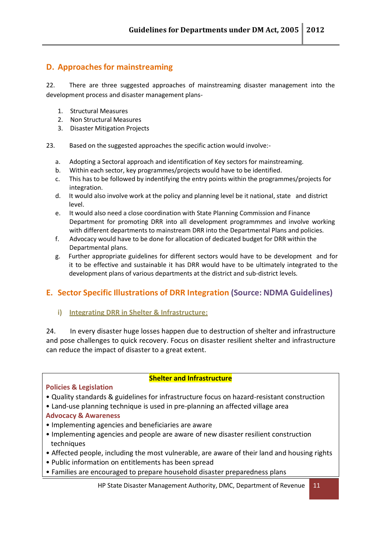## **D.** Approaches for mainstreaming

22. There are three suggested approaches of mainstreaming disaster management into the development process and disaster management plans-

- 1. Structural Measures
- 2. Non Structural Measures
- 3. Disaster Mitigation Projects
- 23. Based on the suggested approaches the specific action would involve:
	- a. Adopting a Sectoral approach and identification of Key sectors for mainstreaming.
	- b. Within each sector, key programmes/projects would have to be identified.
	- c. This has to be followed by indentifying the entry points within the programmes/projects for integration.
	- d. It would also involve work at the policy and planning level be it national, state and district level.
	- e. It would also need a close coordination with State Planning Commission and Finance Department for promoting DRR into all development programmmes and involve working with different departments to mainstream DRRinto the Departmental Plans and policies.
	- f. Advocacy would have to be done for allocation of dedicated budget for DRR within the Departmental plans.
	- g. Further appropriate guidelines for different sectors would have to be development and for it to be effective and sustainable it has DRR would have to be ultimately integrated to the development plans of various departments at the district and sub-district levels.

## **E. Sector Specific Illustrations of DRR Integration (Source: NDMA Guidelines)**

#### **i) Integrating DRR in Shelter & Infrastructure:**

24. In every disaster huge losses happen due to destruction of shelter and infrastructure and pose challenges to quick recovery. Focus on disaster resilient shelter and infrastructure can reduce the impact of disaster to a great extent.

#### **Shelter and Infrastructure**

#### **Policies & Legislation**

- Quality standards & guidelines for infrastructure focus on hazard-resistant construction
- Land-use planning technique is used in pre-planning an affected village area
- **Advocacy & Awareness**
- Implementing agencies and beneficiaries are aware
- Implementing agencies and people are aware of new disaster resilient construction techniques
- Affected people, including the most vulnerable, are aware of their land and housing rights
- Public information on entitlements has been spread
- Families are encouraged to prepare household disaster preparedness plans

HP State Disaster Management Authority, DMC, Department of Revenue 11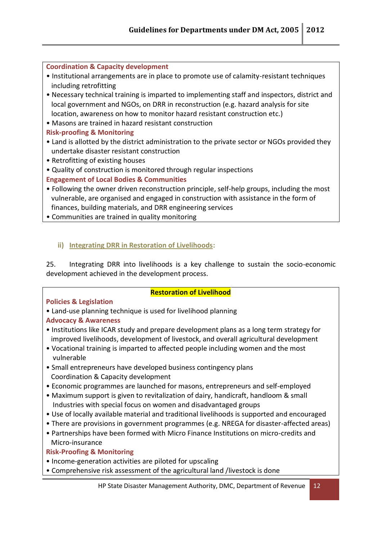#### **Coordination & Capacity development**

- Institutional arrangements are in place to promote use of calamity-resistant techniques including retrofitting
- Necessary technical training is imparted to implementing staff and inspectors, district and local government and NGOs, on DRR in reconstruction (e.g. hazard analysis for site location, awareness on how to monitor hazard resistant construction etc.)
- Masons are trained in hazard resistant construction
- **Risk-proofing & Monitoring**
- Land is allotted by the district administration to the private sector or NGOs provided they undertake disaster resistant construction
- Retrofitting of existing houses
- Quality of construction is monitored through regular inspections
- **Engagement of Local Bodies & Communities**
- Following the owner driven reconstruction principle, self-help groups, including the most vulnerable, are organised and engaged in construction with assistance in the form of finances, building materials, and DRR engineering services
- Communities are trained in quality monitoring

## **ii) Integrating DRR in Restoration of Livelihoods:**

25. Integrating DRR into livelihoods is a key challenge to sustain the socio-economic development achieved in the development process.

#### **Policies & Legislation**

- **Restoration of Livelihood**
- Land-use planning technique is used for livelihood planning

## **Advocacy & Awareness**

- Institutions like ICAR study and prepare development plans as a long term strategy for improved livelihoods, development of livestock, and overall agricultural development
- Vocational training is imparted to affected people including women and the most vulnerable
- Small entrepreneurs have developed business contingency plans Coordination & Capacity development
- Economic programmes are launched for masons, entrepreneurs and self-employed
- Maximum support is given to revitalization of dairy, handicraft, handloom & small Industries with special focus on women and disadvantaged groups
- Use of locally available material and traditional livelihoods is supported and encouraged
- There are provisions in government programmes (e.g. NREGA for disaster-affected areas)
- Partnerships have been formed with Micro Finance Institutions on micro-credits and Micro-insurance

#### **Risk-Proofing & Monitoring**

- Income-generation activities are piloted for upscaling
- Comprehensive risk assessment of the agricultural land /livestock is done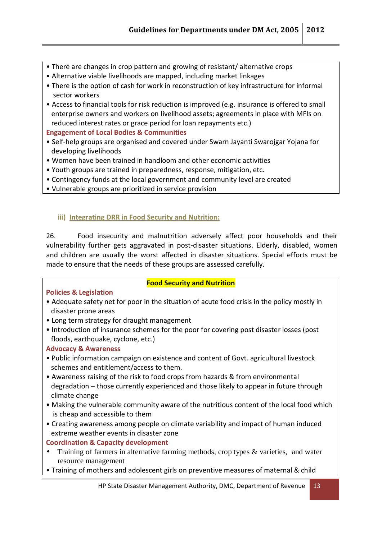- There are changes in crop pattern and growing of resistant/ alternative crops
- Alternative viable livelihoods are mapped, including market linkages
- There is the option of cash for work in reconstruction of key infrastructure for informal sector workers
- Access to financial tools for risk reduction is improved (e.g. insurance is offered to small enterprise owners and workers on livelihood assets; agreements in place with MFIs on reduced interest rates or grace period for loan repayments etc.)

**Engagement of Local Bodies & Communities**

- Self-help groups are organised and covered under Swarn Jayanti Swarojgar Yojana for developing livelihoods
- Women have been trained in handloom and other economic activities
- Youth groups are trained in preparedness, response, mitigation, etc.
- Contingency funds at the local government and community level are created
- Vulnerable groups are prioritized in service provision

#### **iii) Integrating DRR in Food Security and Nutrition:**

26. Food insecurity and malnutrition adversely affect poor households and their vulnerability further gets aggravated in post-disaster situations. Elderly, disabled, women and children are usually the worst affected in disaster situations. Special efforts must be made to ensure that the needs of these groups are assessed carefully.

#### **Policies & Legislation**

#### **Food Security and Nutrition**

- Adequate safety net for poor in the situation of acute food crisis in the policy mostly in disaster prone areas
- Long term strategy for draught management
- Introduction of insurance schemes for the poor for covering post disaster losses (post floods, earthquake, cyclone, etc.)

#### **Advocacy & Awareness**

- Public information campaign on existence and content of Govt. agricultural livestock schemes and entitlement/access to them.
- Awareness raising of the risk to food crops from hazards & from environmental degradation – those currently experienced and those likely to appear in future through climate change
- Making the vulnerable community aware of the nutritious content of the local food which is cheap and accessible to them
- Creating awareness among people on climate variability and impact of human induced extreme weather events in disaster zone

#### **Coordination & Capacity development**

- Training of farmers in alternative farming methods, crop types  $\&$  varieties, and water resource management
- Training of mothers and adolescent girls on preventive measures of maternal & child

HP State Disaster Management Authority, DMC, Department of Revenue 13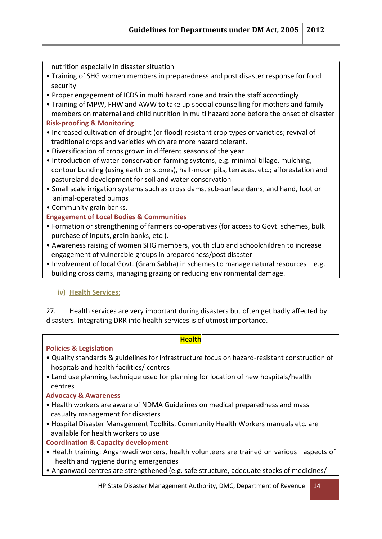nutrition especially in disaster situation

- Training of SHG women members in preparedness and post disaster response for food security
- Proper engagement of ICDS in multi hazard zone and train the staff accordingly
- Training of MPW, FHW and AWW to take up special counselling for mothers and family members on maternal and child nutrition in multi hazard zone before the onset of disaster **Risk-proofing & Monitoring**
- Increased cultivation of drought (or flood) resistant crop types or varieties; revival of traditional crops and varieties which are more hazard tolerant.
- Diversification of crops grown in different seasons of the year
- Introduction of water-conservation farming systems, e.g. minimal tillage, mulching, contour bunding (using earth or stones), half-moon pits, terraces, etc.; afforestation and pastureland development for soil and water conservation
- Small scale irrigation systems such as cross dams, sub-surface dams, and hand, foot or animal-operated pumps
- Community grain banks.

## **Engagement of Local Bodies & Communities**

- Formation or strengthening of farmers co-operatives (for access to Govt. schemes, bulk purchase of inputs, grain banks, etc.).
- Awareness raising of women SHG members, youth club and schoolchildren to increase engagement of vulnerable groups in preparedness/post disaster
- Involvement of local Govt. (Gram Sabha) in schemes to manage natural resources e.g. building cross dams, managing grazing or reducing environmental damage.

## **iv) Health Services:**

27. Health services are very important during disasters but often get badly affected by disasters. Integrating DRR into health services is of utmost importance.

#### **Health**

#### **Policies & Legislation**

- Quality standards & guidelines for infrastructure focus on hazard-resistant construction of hospitals and health facilities/ centres
- Land use planning technique used for planning for location of new hospitals/health centres

#### **Advocacy & Awareness**

- Health workers are aware of NDMA Guidelines on medical preparedness and mass casualty management for disasters
- Hospital Disaster Management Toolkits, Community Health Workers manuals etc. are available for health workers to use

#### **Coordination & Capacity development**

- Health training: Anganwadi workers, health volunteers are trained on various aspects of health and hygiene during emergencies
- Anganwadi centres are strengthened (e.g. safe structure, adequate stocks of medicines/

HP State Disaster Management Authority, DMC, Department of Revenue 14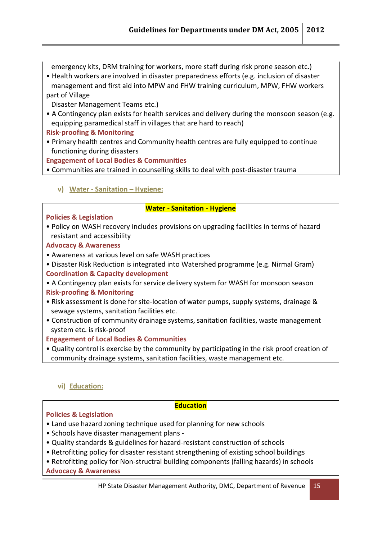emergency kits, DRM training for workers, more staff during risk prone season etc.)

• Health workers are involved in disaster preparedness efforts (e.g. inclusion of disaster management and first aid into MPW and FHW training curriculum, MPW, FHW workers part of Village

Disaster Management Teams etc.)

• A Contingency plan exists for health services and delivery during the monsoon season (e.g. equipping paramedical staff in villages that are hard to reach)

#### **Risk-proofing & Monitoring**

• Primary health centres and Community health centres are fully equipped to continue functioning during disasters

**Engagement of Local Bodies & Communities**

- Communities are trained in counselling skills to deal with post-disaster trauma
	- **v) Water - Sanitation – Hygiene:**

#### **Water - Sanitation - Hygiene**

#### **Policies & Legislation**

• Policy on WASH recovery includes provisions on upgrading facilities in terms of hazard resistant and accessibility

#### **Advocacy & Awareness**

- Awareness at various level on safe WASH practices
- Disaster Risk Reduction is integrated into Watershed programme (e.g. Nirmal Gram) **Coordination & Capacity development**

• A Contingency plan exists for service delivery system for WASH for monsoon season **Risk-proofing & Monitoring**

- Risk assessment is done for site-location of water pumps, supply systems, drainage & sewage systems, sanitation facilities etc.
- Construction of community drainage systems, sanitation facilities, waste management system etc. is risk-proof

## **Engagement of Local Bodies & Communities**

• Quality control is exercise by the community by participating in the risk proof creation of community drainage systems, sanitation facilities, waste management etc.

#### **vi) Education:**

#### **Education**

#### **Policies & Legislation**

- Land use hazard zoning technique used for planning for new schools
- Schools have disaster management plans -
- Quality standards & guidelines for hazard-resistant construction of schools
- Retrofitting policy for disaster resistant strengthening of existing school buildings

• Retrofitting policy for Non-structral building components (falling hazards) in schools **Advocacy & Awareness**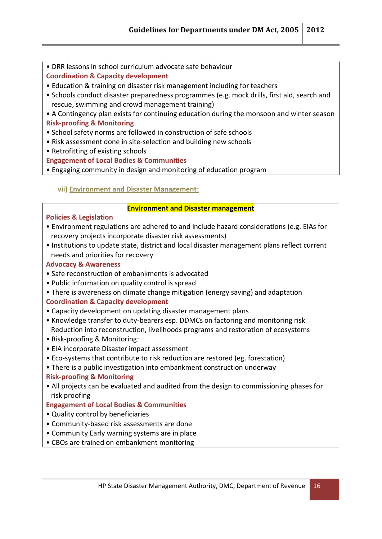• DRR lessons in school curriculum advocate safe behaviour

**Coordination & Capacity development**

- Education & training on disaster risk management including for teachers
- Schools conduct disaster preparedness programmes (e.g. mock drills, first aid, search and rescue, swimming and crowd management training)

• A Contingency plan exists for continuing education during the monsoon and winter season

#### **Risk-proofing & Monitoring**

- School safety norms are followed in construction of safe schools
- Risk assessment done in site-selection and building new schools
- Retrofitting of existing schools

**Engagement of Local Bodies & Communities**

• Engaging community in design and monitoring of education program

## **vii) Environment and Disaster Management:**

#### **Environment and Disaster management**

#### **Policies & Legislation**

- Environment regulations are adhered to and include hazard considerations (e.g. EIAs for recovery projects incorporate disaster risk assessments)
- Institutions to update state, district and local disaster management plans reflect current needs and priorities for recovery

#### **Advocacy & Awareness**

- Safe reconstruction of embankments is advocated
- Public information on quality control is spread
- There is awareness on climate change mitigation (energy saving) and adaptation

## **Coordination & Capacity development**

- Capacity development on updating disaster management plans
- Knowledge transfer to duty-bearers esp. DDMCs on factoring and monitoring risk Reduction into reconstruction, livelihoods programs and restoration of ecosystems
- Risk-proofing & Monitoring:
- EIA incorporate Disaster impact assessment
- Eco-systems that contribute to risk reduction are restored (eg. forestation)
- There is a public investigation into embankment construction underway

## **Risk-proofing & Monitoring**

• All projects can be evaluated and audited from the design to commissioning phases for risk proofing

## **Engagement of Local Bodies & Communities**

- Quality control by beneficiaries
- Community-based risk assessments are done
- Community Early warning systems are in place
- CBOs are trained on embankment monitoring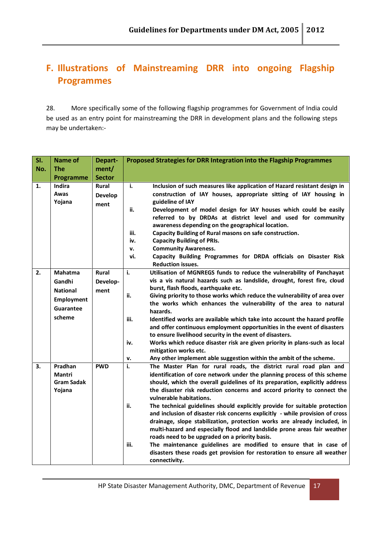## **F. Illustrations of Mainstreaming DRR into ongoing Flagship Programmes**

28. More specifically some of the following flagship programmes for Government of India could be used as an entry point for mainstreaming the DRR in development plans and the following steps may be undertaken:-

| SI. | Name of                                                                                 | Depart-                          | Proposed Strategies for DRR Integration into the Flagship Programmes                                                                                                                                                                                                                                                                                                                                                                                                                                                                                                                                                                                                                                                                                                                                                                                                                                |  |  |
|-----|-----------------------------------------------------------------------------------------|----------------------------------|-----------------------------------------------------------------------------------------------------------------------------------------------------------------------------------------------------------------------------------------------------------------------------------------------------------------------------------------------------------------------------------------------------------------------------------------------------------------------------------------------------------------------------------------------------------------------------------------------------------------------------------------------------------------------------------------------------------------------------------------------------------------------------------------------------------------------------------------------------------------------------------------------------|--|--|
| No. | <b>The</b>                                                                              | ment/                            |                                                                                                                                                                                                                                                                                                                                                                                                                                                                                                                                                                                                                                                                                                                                                                                                                                                                                                     |  |  |
|     | Programme                                                                               | <b>Sector</b>                    |                                                                                                                                                                                                                                                                                                                                                                                                                                                                                                                                                                                                                                                                                                                                                                                                                                                                                                     |  |  |
| 1.  | Indira                                                                                  | <b>Rural</b>                     | i.<br>Inclusion of such measures like application of Hazard resistant design in                                                                                                                                                                                                                                                                                                                                                                                                                                                                                                                                                                                                                                                                                                                                                                                                                     |  |  |
|     | Awas<br>Yojana                                                                          | <b>Develop</b><br>ment           | construction of IAY houses, appropriate sitting of IAY housing in<br>guideline of IAY<br>Development of model design for IAY houses which could be easily<br>ii.<br>referred to by DRDAs at district level and used for community<br>awareness depending on the geographical location.<br>Capacity Building of Rural masons on safe construction.<br>iii.<br>iv.<br><b>Capacity Building of PRIs.</b><br><b>Community Awareness.</b><br>v.<br>Capacity Building Programmes for DRDA officials on Disaster Risk<br>vi.<br><b>Reduction issues.</b>                                                                                                                                                                                                                                                                                                                                                   |  |  |
| 2.  | <b>Mahatma</b><br>Gandhi<br><b>National</b><br><b>Employment</b><br>Guarantee<br>scheme | <b>Rural</b><br>Develop-<br>ment | i.<br>Utilisation of MGNREGS funds to reduce the vulnerability of Panchayat<br>vis a vis natural hazards such as landslide, drought, forest fire, cloud<br>burst, flash floods, earthquake etc.<br>ii.<br>Giving priority to those works which reduce the vulnerability of area over<br>the works which enhances the vulnerability of the area to natural<br>hazards.<br>Identified works are available which take into account the hazard profile<br>iii.<br>and offer continuous employment opportunities in the event of disasters<br>to ensure livelihood security in the event of disasters.<br>Works which reduce disaster risk are given priority in plans-such as local<br>iv.<br>mitigation works etc.<br>Any other implement able suggestion within the ambit of the scheme.<br>v.                                                                                                        |  |  |
| 3.  | Pradhan<br>Mantri<br>Gram Sadak<br>Yojana                                               | <b>PWD</b>                       | The Master Plan for rural roads, the district rural road plan and<br>i.<br>identification of core network under the planning process of this scheme<br>should, which the overall guidelines of its preparation, explicitly address<br>the disaster risk reduction concerns and accord priority to connect the<br>vulnerable habitations.<br>The technical guidelines should explicitly provide for suitable protection<br>ii.<br>and inclusion of disaster risk concerns explicitly - while provision of cross<br>drainage, slope stabilization, protection works are already included, in<br>multi-hazard and especially flood and landslide prone areas fair weather<br>roads need to be upgraded on a priority basis.<br>The maintenance guidelines are modified to ensure that in case of<br>iii.<br>disasters these roads get provision for restoration to ensure all weather<br>connectivity. |  |  |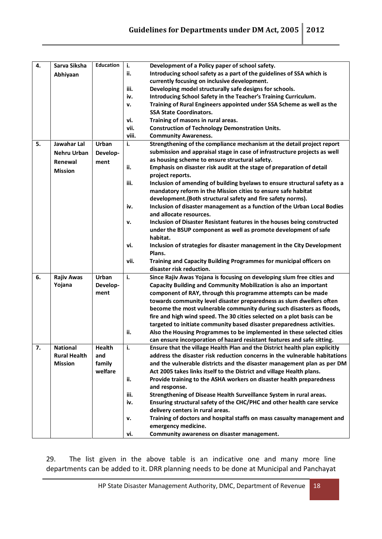| 4. | Sarva Siksha        | <b>Education</b> | i.    | Development of a Policy paper of school safety.                             |
|----|---------------------|------------------|-------|-----------------------------------------------------------------------------|
|    | Abhiyaan            |                  | ii.   | Introducing school safety as a part of the guidelines of SSA which is       |
|    |                     |                  |       | currently focusing on inclusive development.                                |
|    |                     |                  | iii.  | Developing model structurally safe designs for schools.                     |
|    |                     |                  | iv.   | Introducing School Safety in the Teacher's Training Curriculum.             |
|    |                     |                  | v.    | Training of Rural Engineers appointed under SSA Scheme as well as the       |
|    |                     |                  |       | <b>SSA State Coordinators.</b>                                              |
|    |                     |                  | vi.   | Training of masons in rural areas.                                          |
|    |                     |                  | vii.  | <b>Construction of Technology Demonstration Units.</b>                      |
|    |                     |                  | viii. | <b>Community Awareness.</b>                                                 |
| 5. | Jawahar Lal         | Urban            | i.    | Strengthening of the compliance mechanism at the detail project report      |
|    |                     |                  |       | submission and appraisal stage in case of infrastructure projects as well   |
|    | <b>Nehru Urban</b>  | Develop-         |       | as housing scheme to ensure structural safety.                              |
|    | Renewal             | ment             |       |                                                                             |
|    | <b>Mission</b>      |                  | ii.   | Emphasis on disaster risk audit at the stage of preparation of detail       |
|    |                     |                  |       | project reports.                                                            |
|    |                     |                  | iii.  | Inclusion of amending of building byelaws to ensure structural safety as a  |
|    |                     |                  |       | mandatory reform in the Mission cities to ensure safe habitat               |
|    |                     |                  |       | development. (Both structural safety and fire safety norms).                |
|    |                     |                  | iv.   | Inclusion of disaster management as a function of the Urban Local Bodies    |
|    |                     |                  |       | and allocate resources.                                                     |
|    |                     |                  | v.    | Inclusion of Disaster Resistant features in the houses being constructed    |
|    |                     |                  |       | under the BSUP component as well as promote development of safe             |
|    |                     |                  |       | habitat.                                                                    |
|    |                     |                  | vi.   | Inclusion of strategies for disaster management in the City Development     |
|    |                     |                  |       | Plans.                                                                      |
|    |                     |                  | vii.  | Training and Capacity Building Programmes for municipal officers on         |
|    |                     |                  |       | disaster risk reduction.                                                    |
| 6. | <b>Rajiv Awas</b>   | Urban            | i.    | Since Rajiv Awas Yojana is focusing on developing slum free cities and      |
|    | Yojana              | Develop-         |       | Capacity Building and Community Mobilization is also an important           |
|    |                     | ment             |       | component of RAY, through this programme attempts can be made               |
|    |                     |                  |       | towards community level disaster preparedness as slum dwellers often        |
|    |                     |                  |       | become the most vulnerable community during such disasters as floods,       |
|    |                     |                  |       | fire and high wind speed. The 30 cities selected on a plot basis can be     |
|    |                     |                  |       | targeted to initiate community based disaster preparedness activities.      |
|    |                     |                  | ii.   | Also the Housing Programmes to be implemented in these selected cities      |
|    |                     |                  |       | can ensure incorporation of hazard resistant features and safe sitting.     |
| 7. | <b>National</b>     | Health           | i.    | Ensure that the village Health Plan and the District health plan explicitly |
|    | <b>Rural Health</b> | and              |       | address the disaster risk reduction concerns in the vulnerable habitations  |
|    | <b>Mission</b>      | family           |       | and the vulnerable districts and the disaster management plan as per DM     |
|    |                     | welfare          |       | Act 2005 takes links itself to the District and village Health plans.       |
|    |                     |                  | ii.   | Provide training to the ASHA workers on disaster health preparedness        |
|    |                     |                  |       | and response.                                                               |
|    |                     |                  | iii.  | Strengthening of Disease Health Surveillance System in rural areas.         |
|    |                     |                  | iv.   | Ensuring structural safety of the CHC/PHC and other health care service     |
|    |                     |                  |       | delivery centers in rural areas.                                            |
|    |                     |                  |       | Training of doctors and hospital staffs on mass casualty management and     |
|    |                     |                  | v.    | emergency medicine.                                                         |
|    |                     |                  |       |                                                                             |
|    |                     |                  | vi.   | Community awareness on disaster management.                                 |

29. The list given in the above table is an indicative one and many more line departments can be added to it. DRR planning needs to be done at Municipal and Panchayat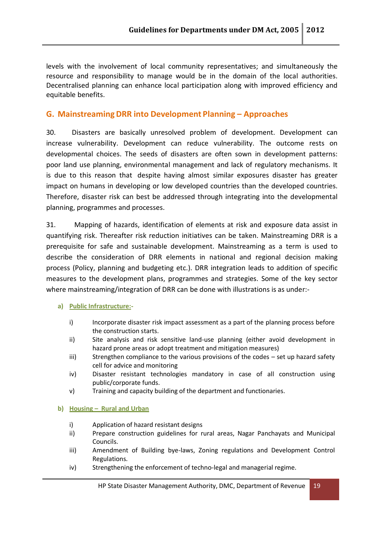levels with the involvement of local community representatives; and simultaneously the resource and responsibility to manage would be in the domain of the local authorities. Decentralised planning can enhance local participation along with improved efficiency and equitable benefits.

## **G. Mainstreaming DRR into Development Planning – Approaches**

30. Disasters are basically unresolved problem of development. Development can increase vulnerability. Development can reduce vulnerability. The outcome rests on developmental choices. The seeds of disasters are often sown in development patterns: poor land use planning, environmental management and lack of regulatory mechanisms. It is due to this reason that despite having almost similar exposures disaster has greater impact on humans in developing or low developed countries than the developed countries. Therefore, disaster risk can best be addressed through integrating into the developmental planning, programmes and processes.

31. Mapping ofhazards, identification of elements at risk and exposure data assist in quantifying risk. Thereafter risk reduction initiatives can be taken. Mainstreaming DRR is a prerequisite for safe and sustainable development. Mainstreaming as a term is used to describe the consideration of DRR elements in national and regional decision making process (Policy, planning and budgeting etc.). DRR integration leads to addition of specific measures to the development plans, programmes and strategies. Some of the key sector where mainstreaming/integration of DRR can be done with illustrations is as under:-

#### **a) Public Infrastructure:-**

- i) Incorporate disaster risk impact assessment as a part of the planning process before the construction starts.
- ii) Site analysis and risk sensitive land-use planning (either avoid development in hazard prone areas or adopt treatment and mitigation measures)
- iii) Strengthen compliance to the various provisions of the codes set up hazard safety cell for advice and monitoring
- iv) Disaster resistant technologies mandatory in case of all construction using public/corporate funds.
- v) Training and capacity building of the department and functionaries.

#### **b) Housing – Rural and Urban**

- i) Application of hazard resistant designs
- ii) Prepare construction guidelines for rural areas, Nagar Panchayats and Municipal Councils.
- iii) Amendment of Building bye-laws, Zoning regulations and Development Control Regulations.
- iv) Strengthening the enforcement of techno-legal and managerial regime.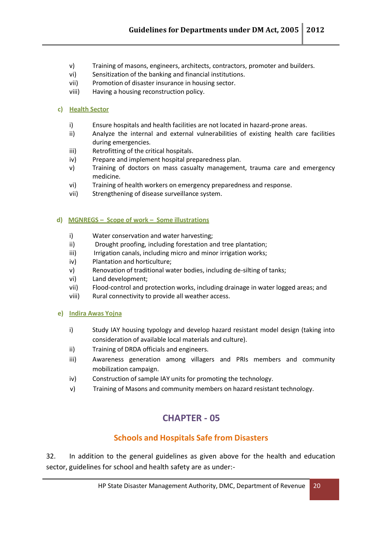- v) Training of masons, engineers, architects, contractors, promoter and builders.
- vi) Sensitization of the banking and financial institutions.
- vii) Promotion of disaster insurance in housing sector.
- viii) Having a housing reconstruction policy.

#### **c) Health Sector**

- i) Ensure hospitals and health facilities are not located in hazard-prone areas.
- ii) Analyze the internal and external vulnerabilities of existing health care facilities during emergencies.
- iii) Retrofitting of the critical hospitals.
- iv) Prepare and implement hospital preparedness plan.
- v) Training of doctors on mass casualty management, trauma care and emergency medicine.
- vi) Training of health workers on emergency preparedness and response.
- vii) Strengthening of disease surveillance system.

#### **d) MGNREGS – Scope of work – Some illustrations**

- i) Water conservation and water harvesting;
- ii) Drought proofing, including forestation and tree plantation;
- iii) Irrigation canals, including micro and minor irrigation works;
- iv) Plantation and horticulture;
- v) Renovation of traditional water bodies, including de-silting of tanks;
- vi) Land development;
- vii) Flood-control and protection works, including drainage in water logged areas; and
- viii) Rural connectivity to provide all weather access.

#### **e) Indira Awas Yojna**

- i) Study IAY housing typology and develop hazard resistant model design (taking into consideration of available local materials and culture).
- ii) Training of DRDA officials and engineers.
- iii) Awareness generation among villagers and PRIs members and community mobilization campaign.
- iv) Construction of sample IAY units for promoting the technology.
- v) Training of Masons and community members on hazard resistant technology.

## **CHAPTER - 05**

## **Schools and Hospitals Safe from Disasters**

32. In addition to the general guidelines as given above for the health and education sector, guidelines for school and health safety are as under:-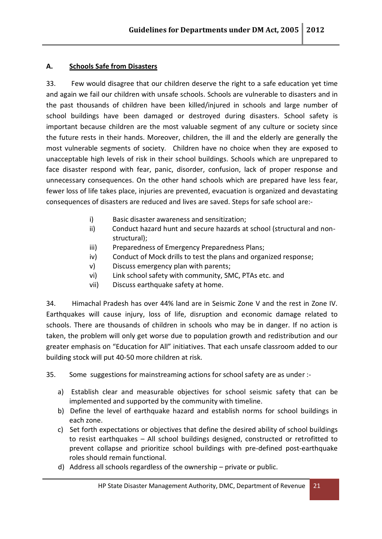#### **A. Schools Safe from Disasters**

33. Few would disagree that our children deserve the right to a safe education yet time and again we fail our children with unsafe schools. Schools are vulnerable to disasters and in the past thousands of children have been killed/injured in schools and large number of school buildings have been damaged or destroyed during disasters. School safety is important because children are the most valuable segment of any culture or society since the future rests in their hands. Moreover, children, the ill and the elderly are generally the most vulnerable segments of society. Children have no choice when they are exposed to unacceptable high levels of risk in their school buildings. Schools which are unprepared to face disaster respond with fear, panic, disorder, confusion, lack of proper response and unnecessary consequences. On the other hand schools which are prepared have less fear, fewer loss of life takes place, injuries are prevented, evacuation is organized and devastating consequences of disasters are reduced and lives are saved. Steps for safe school are:-

- i) Basic disaster awareness and sensitization;
- ii) Conduct hazard hunt and secure hazards at school (structural and non structural);
- iii) Preparedness of Emergency Preparedness Plans;
- iv) Conduct of Mock drills to test the plans and organized response;
- v) Discuss emergency plan with parents;
- vi) Link school safety with community, SMC, PTAs etc. and
- vii) Discuss earthquake safety at home.

34. Himachal Pradesh has over 44% land are in Seismic Zone V and the rest in Zone IV. Earthquakes will cause injury, loss of life, disruption and economic damage related to schools. There are thousands of children in schools who may be in danger. If no action is taken, the problem will only get worse due to population growth and redistribution and our greater emphasis on "Education for All" initiatives. That each unsafe classroom added to our building stock will put 40-50 more children at risk.

35. Some suggestions for mainstreaming actions for school safety are as under :-

- a) Establish clear and measurable objectives for school seismic safety that can be implemented and supported by the community with timeline.
- b) Define the level of earthquake hazard and establish norms for school buildings in each zone.
- c) Set forth expectations or objectives that define the desired ability of school buildings to resist earthquakes – All school buildings designed, constructed or retrofitted to prevent collapse and prioritize school buildings with pre-defined post-earthquake roles should remain functional.
- d) Address all schools regardless of the ownership  $-$  private or public.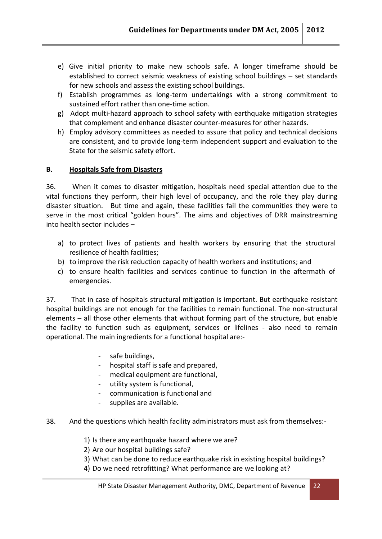- e) Give initial priority to make new schools safe. A longer timeframe should be established to correct seismic weakness of existing school buildings – set standards for new schools and assess the existing school buildings.
- f) Establish programmes as long-term undertakings with a strong commitment to sustained effort rather than one-time action.
- g) Adopt multi-hazard approach to school safety with earthquake mitigation strategies that complement and enhance disaster counter-measures for other hazards.
- h) Employ advisory committees as needed to assure that policy and technical decisions are consistent, and to provide long-term independent support and evaluation to the State for the seismic safety effort.

#### **B. Hospitals Safe from Disasters**

36. When it comes to disaster mitigation, hospitals need special attention due to the vital functions they perform, their high level of occupancy, and the role they play during disaster situation. But time and again, these facilities fail the communities they were to serve in the most critical "golden hours". The aims and objectives of DRR mainstreaming into health sector includes –

- a) to protect lives of patients and health workers by ensuring that the structural resilience of health facilities;
- b) to improve the risk reduction capacity of health workers and institutions; and
- c) to ensure health facilities and services continue to function in the aftermath of emergencies.

37. That in case of hospitals structural mitigation is important. But earthquake resistant hospital buildings are not enough for the facilities to remain functional. The non-structural elements – all those other elements that without forming part of the structure, but enable the facility to function such as equipment, services or lifelines - also need to remain operational. The main ingredients for a functional hospital are:-

- safe buildings,
- hospital staff is safe and prepared,
- medical equipment are functional,
- utility system is functional,
- communication is functional and
- supplies are available.
- 38. And the questions which health facility administrators must ask from themselves:-
	- 1) Is there any earthquake hazard where we are?
	- 2) Are our hospital buildings safe?
	- 3) What can be done to reduce earthquake risk in existing hospital buildings?
	- 4) Do we need retrofitting? What performance are we looking at?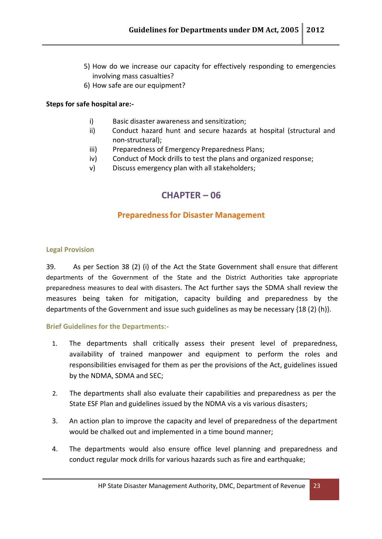- 5) How dowe increase our capacity for effectively responding to emergencies involving mass casualties?
- 6) How safe are our equipment?

#### **Steps for safe hospital are:-**

- i) Basic disaster awareness and sensitization;
- ii) Conduct hazard hunt and secure hazards at hospital (structural and non-structural);
- iii) Preparedness of Emergency Preparedness Plans;
- iv) Conduct of Mock drills to test the plans and organized response;
- v) Discuss emergency plan with all stakeholders;

## **CHAPTER – 06**

## **Preparednessfor Disaster Management**

#### **Legal Provision**

39. As per Section 38 (2) (i) of the Act the State Government shall ensure that different departments of the Government of the State and the District Authorities take appropriate preparedness measures to deal with disasters. The Act further says the SDMA shall review the measures being taken for mitigation, capacity building and preparedness by the departments of the Government and issue such guidelines as may be necessary {18 (2) (h)}.

#### **Brief Guidelines for the Departments:-**

- 1. The departments shall critically assess their present level of preparedness, availability of trained manpower and equipment to perform the roles and responsibilities envisaged for them as per the provisions of the Act, guidelines issued by the NDMA, SDMA and SEC;
- 2. The departments shall also evaluate their capabilities and preparedness as per the State ESF Plan and guidelines issued by the NDMA vis a vis various disasters;
- 3. An action plan to improve the capacity and level of preparedness of the department would be chalked out and implemented in a time bound manner;
- 4. The departments would also ensure office level planning and preparedness and conduct regular mock drills for various hazards such as fire and earthquake;